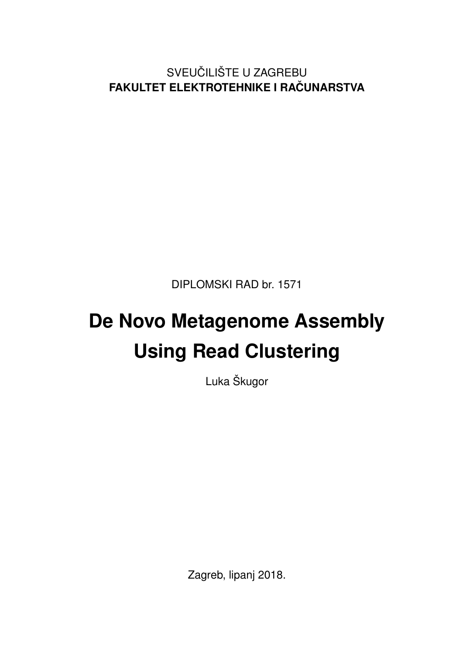SVEUČILIŠTE U ZAGREBU **FAKULTET ELEKTROTEHNIKE I RACUNARSTVA ˇ**

DIPLOMSKI RAD br. 1571

# **De Novo Metagenome Assembly Using Read Clustering**

Luka Škugor

Zagreb, lipanj 2018.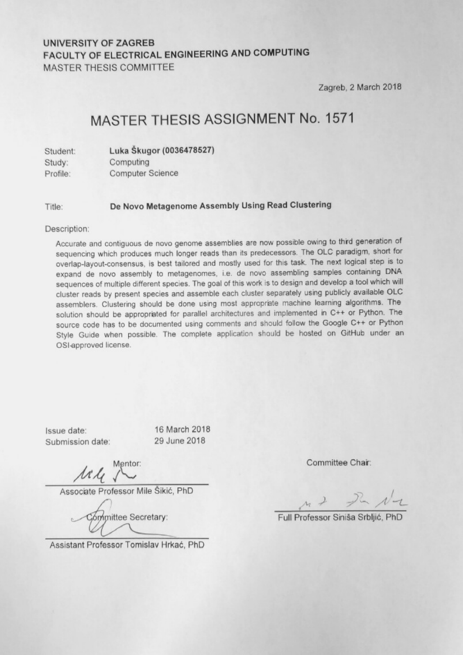#### **UNIVERSITY OF ZAGREB** FACULTY OF ELECTRICAL ENGINEERING AND COMPUTING **MASTER THESIS COMMITTEE**

Zagreb, 2 March 2018

### MASTER THESIS ASSIGNMENT No. 1571

| Student: | Luka Škugor (0036478527) |
|----------|--------------------------|
| Study:   | Computing                |
| Profile: | <b>Computer Science</b>  |

De Novo Metagenome Assembly Using Read Clustering Title:

#### Description:

Accurate and contiguous de novo genome assemblies are now possible owing to third generation of sequencing which produces much longer reads than its predecessors. The OLC paradigm, short for overlap-layout-consensus, is best tailored and mostly used for this task. The next logical step is to expand de novo assembly to metagenomes, i.e. de novo assembling samples containing DNA sequences of multiple different species. The goal of this work is to design and develop a tool which will cluster reads by present species and assemble each cluster separately using publicly available OLC assemblers. Clustering should be done using most appropriate machine learning algorithms. The solution should be appropriated for parallel architectures and implemented in C++ or Python. The source code has to be documented using comments and should follow the Google C++ or Python Style Guide when possible. The complete application should be hosted on GitHub under an OSI-approved license.

Issue date: Submission date: 16 March 2018 29 June 2018

Mentor:

Associate Professor Mile Šikić, PhD

Committee Secretary:

Assistant Professor Tomislav Hrkać, PhD

Committee Chair:

 $M + 2 - N - 1$ 

Full Professor Siniša Srblijć.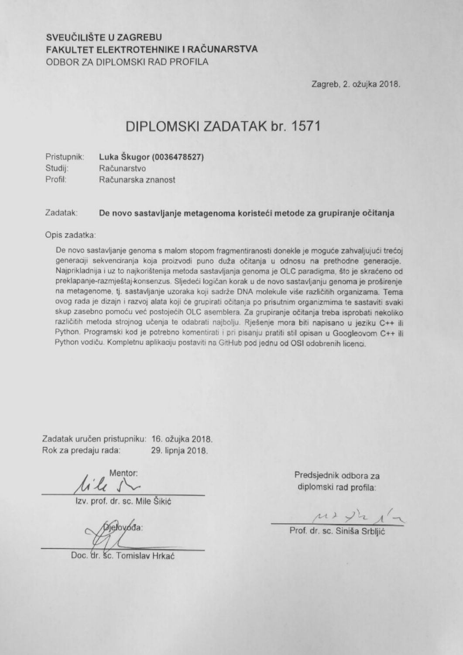#### SVEUČILIŠTE U ZAGREBU FAKULTET ELEKTROTEHNIKE I RAČUNARSTVA ODBOR ZA DIPLOMSKI RAD PROFILA

Zagreb, 2. ožujka 2018.

### DIPLOMSKI ZADATAK br. 1571

| Pristupnik: | Luka Skugor (0036478527) |
|-------------|--------------------------|
| Studij:     | Računarstvo              |
| Profil:     | Računarska znanost       |

Zadatak: De novo sastavljanje metagenoma koristeći metode za grupiranje očitanja

Opis zadatka:

De novo sastavljanje genoma s malom stopom fragmentiranosti donekle je moguće zahvaljujući trećoj generaciji sekvenciranja koja proizvodi puno duža očitanja u odnosu na prethodne generacije. Najprikladnija i uz to najkorištenija metoda sastavljanja genoma je OLC paradigma, što je skraćeno od preklapanje-razmještaj-konsenzus. Sljedeći logičan korak u de novo sastavljanju genoma je proširenje na metagenome, tj. sastavljanje uzoraka koji sadrže DNA molekule više različitih organizama. Tema ovog rada je dizajn i razvoj alata koji će grupirati očitanja po prisutnim organizmima te sastaviti svaki skup zasebno pomoću već postojećih OLC asemblera. Za grupiranje očitanja treba isprobati nekoliko različitih metoda strojnog učenja te odabrati najbolju. Rješenje mora biti napisano u jeziku C++ ili Python. Programski kod je potrebno komentirati i pri pisanju pratiti stil opisan u Googleovom C++ ili Python vodiču. Kompletnu aplikaciju postaviti na GitHub pod jednu od OSI odobrenih licenci.

Zadatak uručen pristupniku: 16. ožujka 2018. Rok za predaju rada: 29. lipnja 2018.

lile s

Izv. prof. dr. sc. Mile Šikić

**Dielovóda:** 

Doc. dr. Sc. Tomislay Hrkać

Predsjednik odbora za diplomski rad profila:

 $\mu \rightarrow \mu \rightarrow \mu'$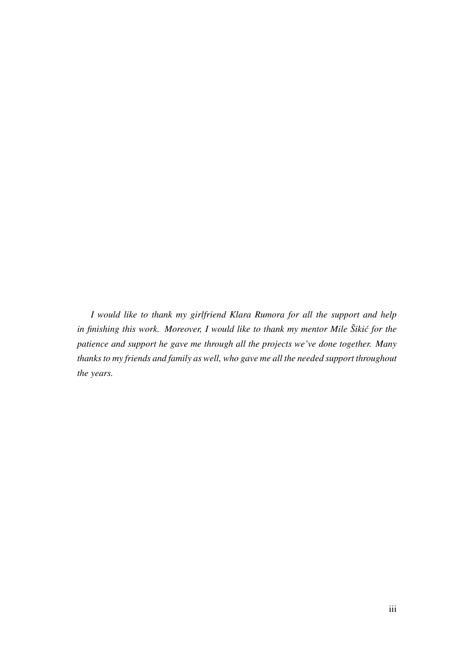*I would like to thank my girlfriend Klara Rumora for all the support and help* in finishing this work. Moreover, I would like to thank my mentor Mile Šikić for the *patience and support he gave me through all the projects we've done together. Many thanks to my friends and family as well, who gave me all the needed support throughout the years.*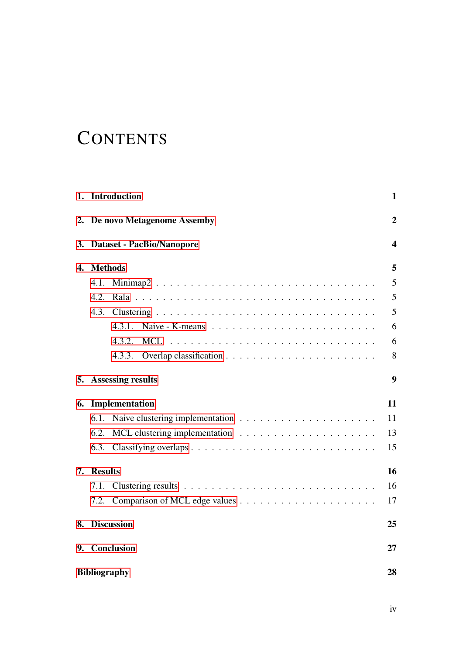## **CONTENTS**

|    | 1. Introduction                  | $\mathbf{1}$     |
|----|----------------------------------|------------------|
| 2. | De novo Metagenome Assemby       | $\overline{2}$   |
| 3. | <b>Dataset - PacBio/Nanopore</b> | $\boldsymbol{4}$ |
| 4. | <b>Methods</b>                   | 5                |
|    | Minimap2<br>4.1.                 | 5                |
|    | 4.2.                             | 5                |
|    | 4.3.                             | 5                |
|    | 4.3.1.                           | 6                |
|    | 4.3.2.                           | 6                |
|    | 4.3.3.                           | 8                |
| 5. | <b>Assessing results</b>         | 9                |
| 6. | Implementation                   | 11               |
|    | 6.1.                             | 11               |
|    | 6.2.                             | 13               |
|    |                                  | 15               |
| 7. | <b>Results</b>                   | 16               |
|    | 7.1.                             | 16               |
|    |                                  | 17               |
| 8. | <b>Discussion</b>                | 25               |
|    | 9. Conclusion                    | 27               |
|    | <b>Bibliography</b>              | 28               |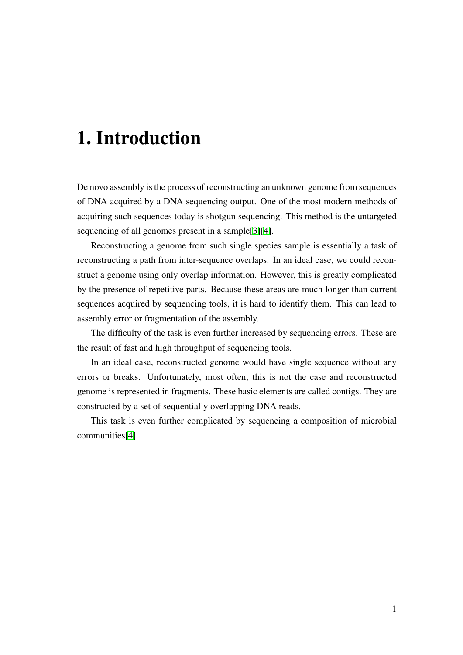## <span id="page-5-0"></span>1. Introduction

De novo assembly is the process of reconstructing an unknown genome from sequences of DNA acquired by a DNA sequencing output. One of the most modern methods of acquiring such sequences today is shotgun sequencing. This method is the untargeted sequencing of all genomes present in a sample[\[3\]](#page-32-1)[\[4\]](#page-32-2).

Reconstructing a genome from such single species sample is essentially a task of reconstructing a path from inter-sequence overlaps. In an ideal case, we could reconstruct a genome using only overlap information. However, this is greatly complicated by the presence of repetitive parts. Because these areas are much longer than current sequences acquired by sequencing tools, it is hard to identify them. This can lead to assembly error or fragmentation of the assembly.

The difficulty of the task is even further increased by sequencing errors. These are the result of fast and high throughput of sequencing tools.

In an ideal case, reconstructed genome would have single sequence without any errors or breaks. Unfortunately, most often, this is not the case and reconstructed genome is represented in fragments. These basic elements are called contigs. They are constructed by a set of sequentially overlapping DNA reads.

This task is even further complicated by sequencing a composition of microbial communities[\[4\]](#page-32-2).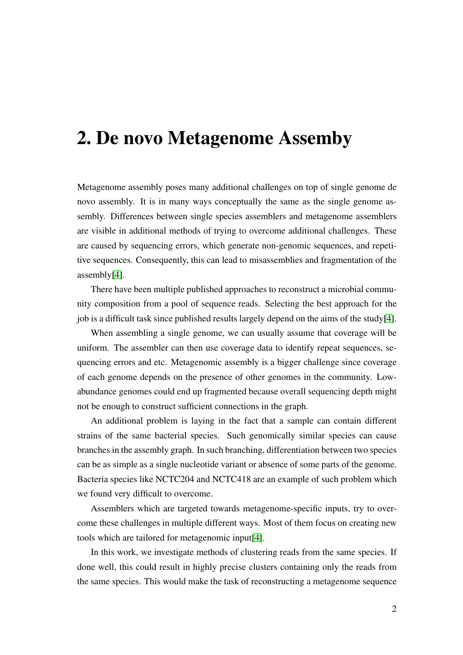## <span id="page-6-0"></span>2. De novo Metagenome Assemby

Metagenome assembly poses many additional challenges on top of single genome de novo assembly. It is in many ways conceptually the same as the single genome assembly. Differences between single species assemblers and metagenome assemblers are visible in additional methods of trying to overcome additional challenges. These are caused by sequencing errors, which generate non-genomic sequences, and repetitive sequences. Consequently, this can lead to misassemblies and fragmentation of the assembly[\[4\]](#page-32-2).

There have been multiple published approaches to reconstruct a microbial community composition from a pool of sequence reads. Selecting the best approach for the job is a difficult task since published results largely depend on the aims of the study[\[4\]](#page-32-2).

When assembling a single genome, we can usually assume that coverage will be uniform. The assembler can then use coverage data to identify repeat sequences, sequencing errors and etc. Metagenomic assembly is a bigger challenge since coverage of each genome depends on the presence of other genomes in the community. Lowabundance genomes could end up fragmented because overall sequencing depth might not be enough to construct sufficient connections in the graph.

An additional problem is laying in the fact that a sample can contain different strains of the same bacterial species. Such genomically similar species can cause branches in the assembly graph. In such branching, differentiation between two species can be as simple as a single nucleotide variant or absence of some parts of the genome. Bacteria species like NCTC204 and NCTC418 are an example of such problem which we found very difficult to overcome.

Assemblers which are targeted towards metagenome-specific inputs, try to overcome these challenges in multiple different ways. Most of them focus on creating new tools which are tailored for metagenomic input[\[4\]](#page-32-2).

In this work, we investigate methods of clustering reads from the same species. If done well, this could result in highly precise clusters containing only the reads from the same species. This would make the task of reconstructing a metagenome sequence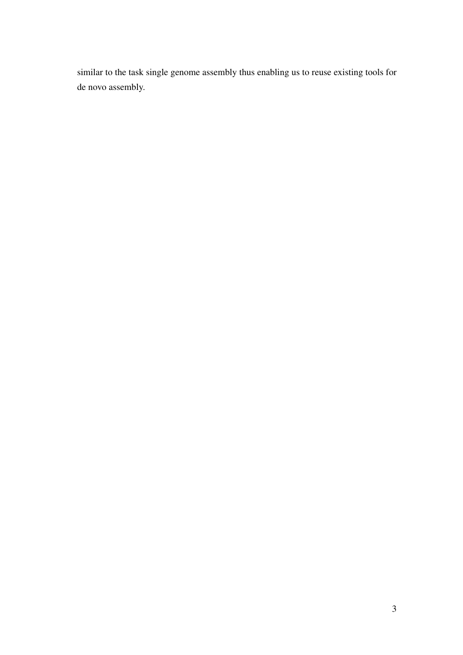similar to the task single genome assembly thus enabling us to reuse existing tools for de novo assembly.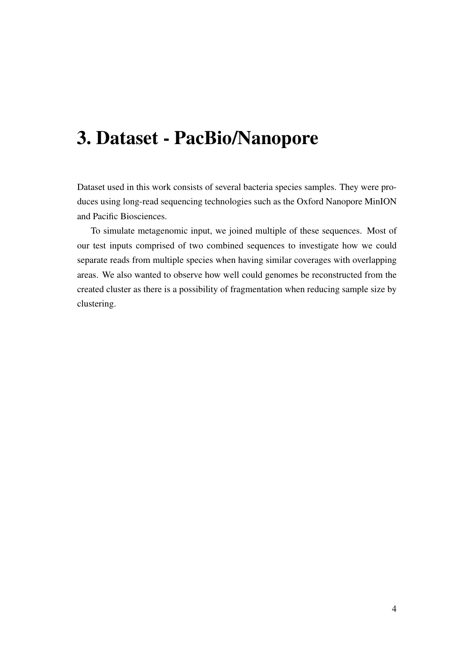## <span id="page-8-0"></span>3. Dataset - PacBio/Nanopore

Dataset used in this work consists of several bacteria species samples. They were produces using long-read sequencing technologies such as the Oxford Nanopore MinION and Pacific Biosciences.

To simulate metagenomic input, we joined multiple of these sequences. Most of our test inputs comprised of two combined sequences to investigate how we could separate reads from multiple species when having similar coverages with overlapping areas. We also wanted to observe how well could genomes be reconstructed from the created cluster as there is a possibility of fragmentation when reducing sample size by clustering.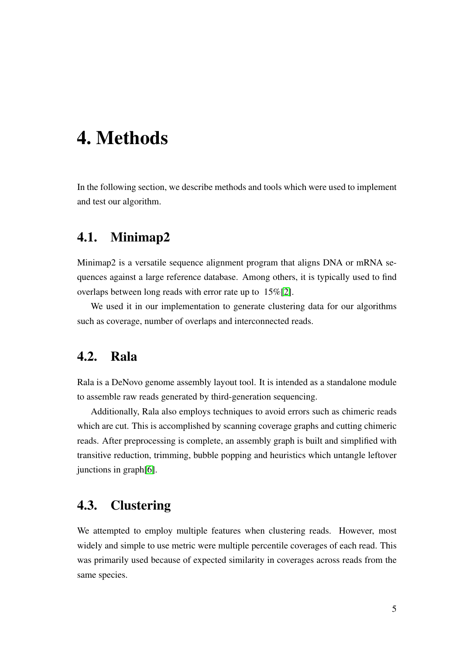## <span id="page-9-0"></span>4. Methods

In the following section, we describe methods and tools which were used to implement and test our algorithm.

### <span id="page-9-1"></span>4.1. Minimap2

Minimap2 is a versatile sequence alignment program that aligns DNA or mRNA sequences against a large reference database. Among others, it is typically used to find overlaps between long reads with error rate up to 15%[\[2\]](#page-32-3).

We used it in our implementation to generate clustering data for our algorithms such as coverage, number of overlaps and interconnected reads.

### <span id="page-9-2"></span>4.2. Rala

Rala is a DeNovo genome assembly layout tool. It is intended as a standalone module to assemble raw reads generated by third-generation sequencing.

Additionally, Rala also employs techniques to avoid errors such as chimeric reads which are cut. This is accomplished by scanning coverage graphs and cutting chimeric reads. After preprocessing is complete, an assembly graph is built and simplified with transitive reduction, trimming, bubble popping and heuristics which untangle leftover junctions in graph[\[6\]](#page-32-4).

### <span id="page-9-3"></span>4.3. Clustering

We attempted to employ multiple features when clustering reads. However, most widely and simple to use metric were multiple percentile coverages of each read. This was primarily used because of expected similarity in coverages across reads from the same species.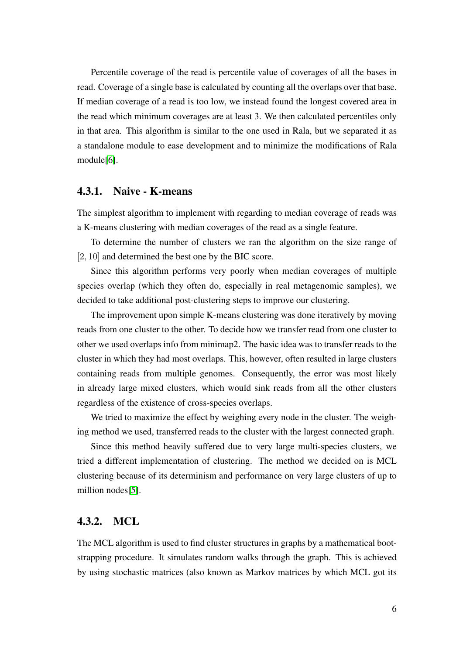Percentile coverage of the read is percentile value of coverages of all the bases in read. Coverage of a single base is calculated by counting all the overlaps over that base. If median coverage of a read is too low, we instead found the longest covered area in the read which minimum coverages are at least 3. We then calculated percentiles only in that area. This algorithm is similar to the one used in Rala, but we separated it as a standalone module to ease development and to minimize the modifications of Rala module[\[6\]](#page-32-4).

#### <span id="page-10-0"></span>4.3.1. Naive - K-means

The simplest algorithm to implement with regarding to median coverage of reads was a K-means clustering with median coverages of the read as a single feature.

To determine the number of clusters we ran the algorithm on the size range of [2, 10] and determined the best one by the BIC score.

Since this algorithm performs very poorly when median coverages of multiple species overlap (which they often do, especially in real metagenomic samples), we decided to take additional post-clustering steps to improve our clustering.

The improvement upon simple K-means clustering was done iteratively by moving reads from one cluster to the other. To decide how we transfer read from one cluster to other we used overlaps info from minimap2. The basic idea was to transfer reads to the cluster in which they had most overlaps. This, however, often resulted in large clusters containing reads from multiple genomes. Consequently, the error was most likely in already large mixed clusters, which would sink reads from all the other clusters regardless of the existence of cross-species overlaps.

We tried to maximize the effect by weighing every node in the cluster. The weighing method we used, transferred reads to the cluster with the largest connected graph.

Since this method heavily suffered due to very large multi-species clusters, we tried a different implementation of clustering. The method we decided on is MCL clustering because of its determinism and performance on very large clusters of up to million nodes[\[5\]](#page-32-5).

#### <span id="page-10-1"></span>4.3.2. MCL

The MCL algorithm is used to find cluster structures in graphs by a mathematical bootstrapping procedure. It simulates random walks through the graph. This is achieved by using stochastic matrices (also known as Markov matrices by which MCL got its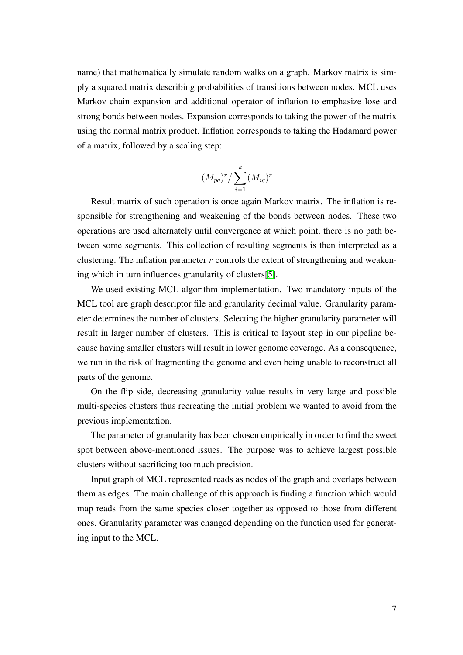name) that mathematically simulate random walks on a graph. Markov matrix is simply a squared matrix describing probabilities of transitions between nodes. MCL uses Markov chain expansion and additional operator of inflation to emphasize lose and strong bonds between nodes. Expansion corresponds to taking the power of the matrix using the normal matrix product. Inflation corresponds to taking the Hadamard power of a matrix, followed by a scaling step:

$$
(M_{pq})^r / \sum_{i=1}^k (M_{iq})^r
$$

Result matrix of such operation is once again Markov matrix. The inflation is responsible for strengthening and weakening of the bonds between nodes. These two operations are used alternately until convergence at which point, there is no path between some segments. This collection of resulting segments is then interpreted as a clustering. The inflation parameter  $r$  controls the extent of strengthening and weakening which in turn influences granularity of clusters[\[5\]](#page-32-5).

We used existing MCL algorithm implementation. Two mandatory inputs of the MCL tool are graph descriptor file and granularity decimal value. Granularity parameter determines the number of clusters. Selecting the higher granularity parameter will result in larger number of clusters. This is critical to layout step in our pipeline because having smaller clusters will result in lower genome coverage. As a consequence, we run in the risk of fragmenting the genome and even being unable to reconstruct all parts of the genome.

On the flip side, decreasing granularity value results in very large and possible multi-species clusters thus recreating the initial problem we wanted to avoid from the previous implementation.

The parameter of granularity has been chosen empirically in order to find the sweet spot between above-mentioned issues. The purpose was to achieve largest possible clusters without sacrificing too much precision.

Input graph of MCL represented reads as nodes of the graph and overlaps between them as edges. The main challenge of this approach is finding a function which would map reads from the same species closer together as opposed to those from different ones. Granularity parameter was changed depending on the function used for generating input to the MCL.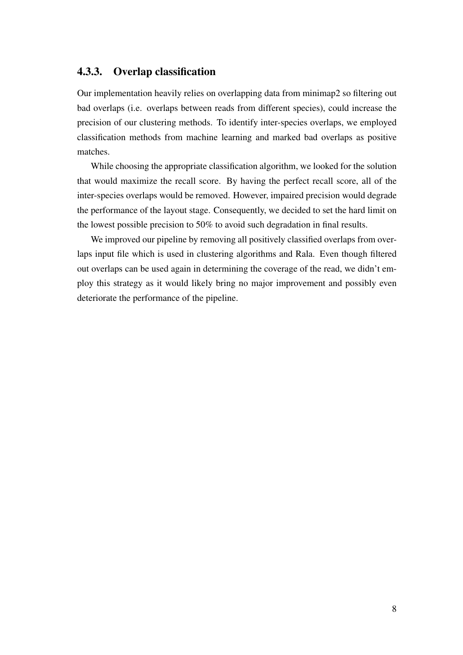#### <span id="page-12-0"></span>4.3.3. Overlap classification

Our implementation heavily relies on overlapping data from minimap2 so filtering out bad overlaps (i.e. overlaps between reads from different species), could increase the precision of our clustering methods. To identify inter-species overlaps, we employed classification methods from machine learning and marked bad overlaps as positive matches.

While choosing the appropriate classification algorithm, we looked for the solution that would maximize the recall score. By having the perfect recall score, all of the inter-species overlaps would be removed. However, impaired precision would degrade the performance of the layout stage. Consequently, we decided to set the hard limit on the lowest possible precision to 50% to avoid such degradation in final results.

We improved our pipeline by removing all positively classified overlaps from overlaps input file which is used in clustering algorithms and Rala. Even though filtered out overlaps can be used again in determining the coverage of the read, we didn't employ this strategy as it would likely bring no major improvement and possibly even deteriorate the performance of the pipeline.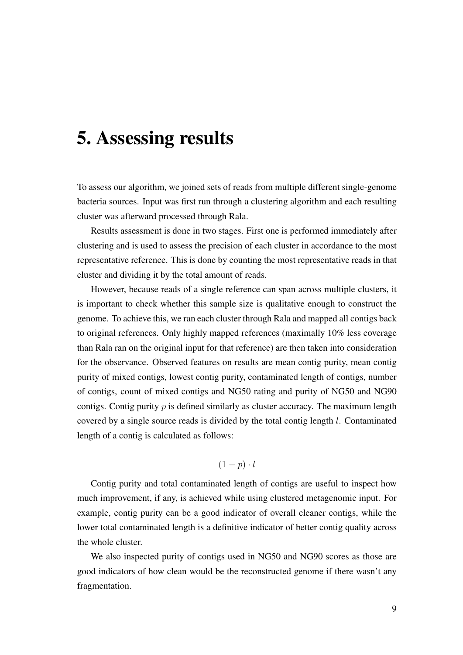## <span id="page-13-0"></span>5. Assessing results

To assess our algorithm, we joined sets of reads from multiple different single-genome bacteria sources. Input was first run through a clustering algorithm and each resulting cluster was afterward processed through Rala.

Results assessment is done in two stages. First one is performed immediately after clustering and is used to assess the precision of each cluster in accordance to the most representative reference. This is done by counting the most representative reads in that cluster and dividing it by the total amount of reads.

However, because reads of a single reference can span across multiple clusters, it is important to check whether this sample size is qualitative enough to construct the genome. To achieve this, we ran each cluster through Rala and mapped all contigs back to original references. Only highly mapped references (maximally 10% less coverage than Rala ran on the original input for that reference) are then taken into consideration for the observance. Observed features on results are mean contig purity, mean contig purity of mixed contigs, lowest contig purity, contaminated length of contigs, number of contigs, count of mixed contigs and NG50 rating and purity of NG50 and NG90 contigs. Contig purity  $p$  is defined similarly as cluster accuracy. The maximum length covered by a single source reads is divided by the total contig length l. Contaminated length of a contig is calculated as follows:

#### $(1 - p) \cdot l$

Contig purity and total contaminated length of contigs are useful to inspect how much improvement, if any, is achieved while using clustered metagenomic input. For example, contig purity can be a good indicator of overall cleaner contigs, while the lower total contaminated length is a definitive indicator of better contig quality across the whole cluster.

We also inspected purity of contigs used in NG50 and NG90 scores as those are good indicators of how clean would be the reconstructed genome if there wasn't any fragmentation.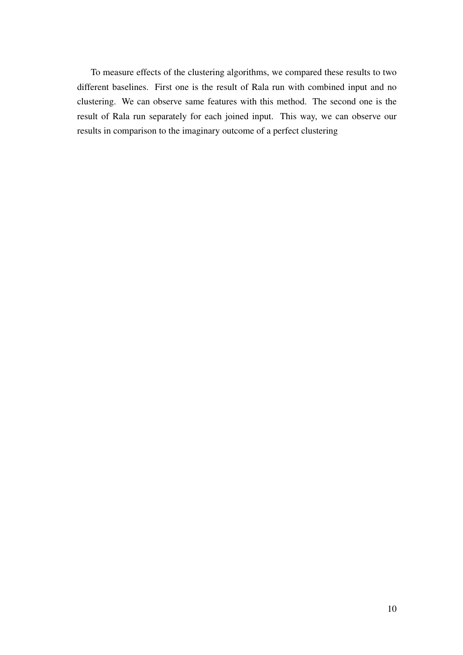To measure effects of the clustering algorithms, we compared these results to two different baselines. First one is the result of Rala run with combined input and no clustering. We can observe same features with this method. The second one is the result of Rala run separately for each joined input. This way, we can observe our results in comparison to the imaginary outcome of a perfect clustering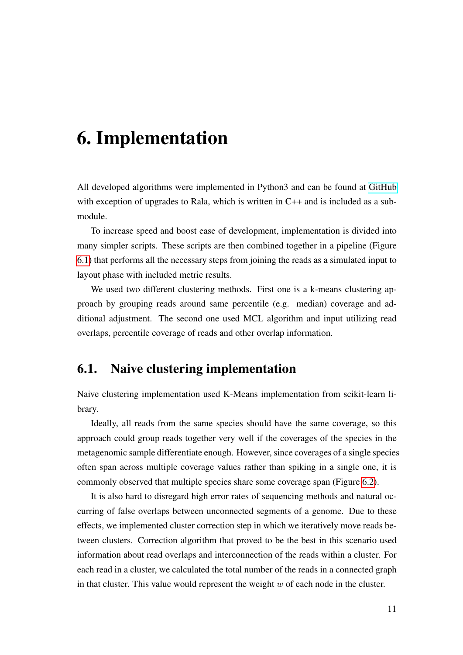## <span id="page-15-0"></span>6. Implementation

All developed algorithms were implemented in Python3 and can be found at [GitHub](https://github.com/lukadante/rala-cluster) with exception of upgrades to Rala, which is written in C++ and is included as a submodule.

To increase speed and boost ease of development, implementation is divided into many simpler scripts. These scripts are then combined together in a pipeline (Figure [6.1\)](#page-16-0) that performs all the necessary steps from joining the reads as a simulated input to layout phase with included metric results.

We used two different clustering methods. First one is a k-means clustering approach by grouping reads around same percentile (e.g. median) coverage and additional adjustment. The second one used MCL algorithm and input utilizing read overlaps, percentile coverage of reads and other overlap information.

### <span id="page-15-1"></span>6.1. Naive clustering implementation

Naive clustering implementation used K-Means implementation from scikit-learn library.

Ideally, all reads from the same species should have the same coverage, so this approach could group reads together very well if the coverages of the species in the metagenomic sample differentiate enough. However, since coverages of a single species often span across multiple coverage values rather than spiking in a single one, it is commonly observed that multiple species share some coverage span (Figure [6.2\)](#page-17-1).

It is also hard to disregard high error rates of sequencing methods and natural occurring of false overlaps between unconnected segments of a genome. Due to these effects, we implemented cluster correction step in which we iteratively move reads between clusters. Correction algorithm that proved to be the best in this scenario used information about read overlaps and interconnection of the reads within a cluster. For each read in a cluster, we calculated the total number of the reads in a connected graph in that cluster. This value would represent the weight  $w$  of each node in the cluster.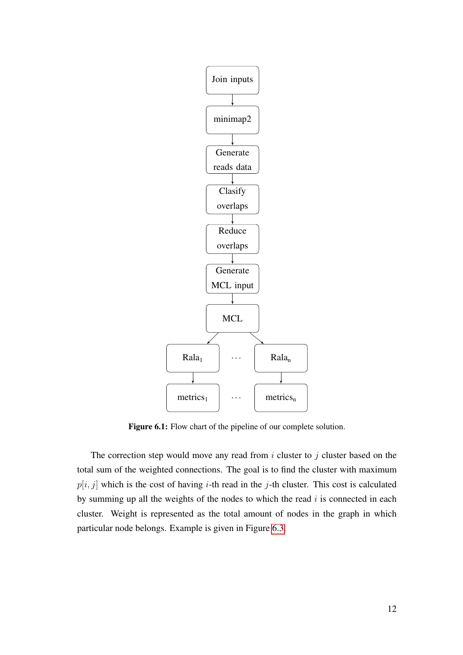<span id="page-16-0"></span>

Figure 6.1: Flow chart of the pipeline of our complete solution.

The correction step would move any read from  $i$  cluster to  $j$  cluster based on the total sum of the weighted connections. The goal is to find the cluster with maximum  $p[i, j]$  which is the cost of having *i*-th read in the *j*-th cluster. This cost is calculated by summing up all the weights of the nodes to which the read  $i$  is connected in each cluster. Weight is represented as the total amount of nodes in the graph in which particular node belongs. Example is given in Figure [6.3.](#page-18-0)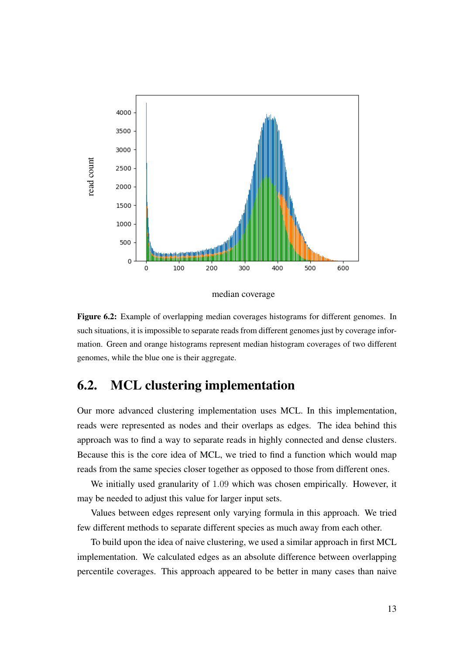<span id="page-17-1"></span>

median coverage

Figure 6.2: Example of overlapping median coverages histograms for different genomes. In such situations, it is impossible to separate reads from different genomes just by coverage information. Green and orange histograms represent median histogram coverages of two different genomes, while the blue one is their aggregate.

### <span id="page-17-0"></span>6.2. MCL clustering implementation

Our more advanced clustering implementation uses MCL. In this implementation, reads were represented as nodes and their overlaps as edges. The idea behind this approach was to find a way to separate reads in highly connected and dense clusters. Because this is the core idea of MCL, we tried to find a function which would map reads from the same species closer together as opposed to those from different ones.

We initially used granularity of 1.09 which was chosen empirically. However, it may be needed to adjust this value for larger input sets.

Values between edges represent only varying formula in this approach. We tried few different methods to separate different species as much away from each other.

To build upon the idea of naive clustering, we used a similar approach in first MCL implementation. We calculated edges as an absolute difference between overlapping percentile coverages. This approach appeared to be better in many cases than naive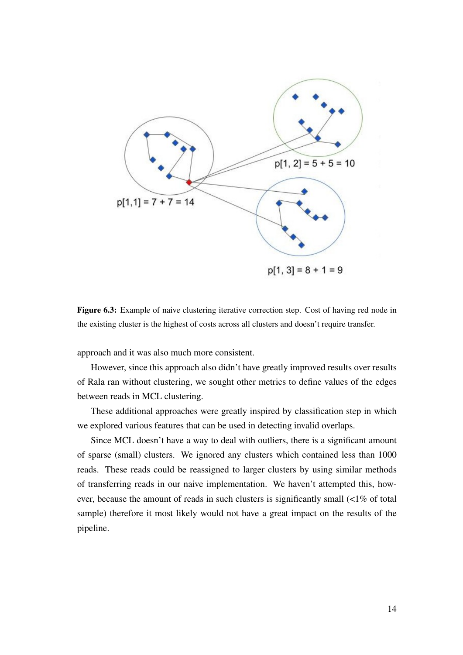<span id="page-18-0"></span>

Figure 6.3: Example of naive clustering iterative correction step. Cost of having red node in the existing cluster is the highest of costs across all clusters and doesn't require transfer.

approach and it was also much more consistent.

However, since this approach also didn't have greatly improved results over results of Rala ran without clustering, we sought other metrics to define values of the edges between reads in MCL clustering.

These additional approaches were greatly inspired by classification step in which we explored various features that can be used in detecting invalid overlaps.

Since MCL doesn't have a way to deal with outliers, there is a significant amount of sparse (small) clusters. We ignored any clusters which contained less than 1000 reads. These reads could be reassigned to larger clusters by using similar methods of transferring reads in our naive implementation. We haven't attempted this, however, because the amount of reads in such clusters is significantly small (<1% of total sample) therefore it most likely would not have a great impact on the results of the pipeline.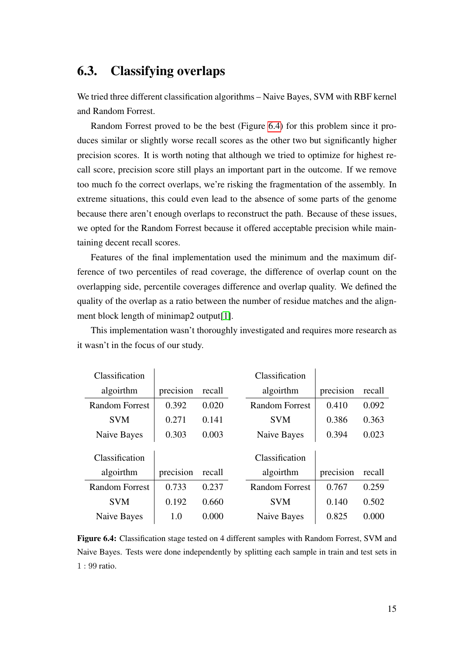### <span id="page-19-0"></span>6.3. Classifying overlaps

We tried three different classification algorithms – Naive Bayes, SVM with RBF kernel and Random Forrest.

Random Forrest proved to be the best (Figure [6.4\)](#page-19-1) for this problem since it produces similar or slightly worse recall scores as the other two but significantly higher precision scores. It is worth noting that although we tried to optimize for highest recall score, precision score still plays an important part in the outcome. If we remove too much fo the correct overlaps, we're risking the fragmentation of the assembly. In extreme situations, this could even lead to the absence of some parts of the genome because there aren't enough overlaps to reconstruct the path. Because of these issues, we opted for the Random Forrest because it offered acceptable precision while maintaining decent recall scores.

Features of the final implementation used the minimum and the maximum difference of two percentiles of read coverage, the difference of overlap count on the overlapping side, percentile coverages difference and overlap quality. We defined the quality of the overlap as a ratio between the number of residue matches and the alignment block length of minimap2 output[\[1\]](#page-32-6).

<span id="page-19-1"></span>

| Classification        |           |        | Classification        |           |        |
|-----------------------|-----------|--------|-----------------------|-----------|--------|
| algoirthm             | precision | recall | algoirthm             | precision | recall |
| <b>Random Forrest</b> | 0.392     | 0.020  | <b>Random Forrest</b> | 0.410     | 0.092  |
| <b>SVM</b>            | 0.271     | 0.141  | <b>SVM</b>            | 0.386     | 0.363  |
| Naive Bayes           | 0.303     | 0.003  | Naive Bayes           | 0.394     | 0.023  |
|                       |           |        |                       |           |        |
| Classification        |           |        | Classification        |           |        |
| algoirthm             | precision | recall | algoirthm             | precision | recall |
| Random Forrest        | 0.733     | 0.237  | <b>Random Forrest</b> | 0.767     | 0.259  |
| <b>SVM</b>            | 0.192     | 0.660  | <b>SVM</b>            | 0.140     | 0.502  |
| Naive Bayes           | 1.0       | 0.000  | Naive Bayes           | 0.825     | 0.000  |

This implementation wasn't thoroughly investigated and requires more research as it wasn't in the focus of our study.

Figure 6.4: Classification stage tested on 4 different samples with Random Forrest, SVM and Naive Bayes. Tests were done independently by splitting each sample in train and test sets in 1 : 99 ratio.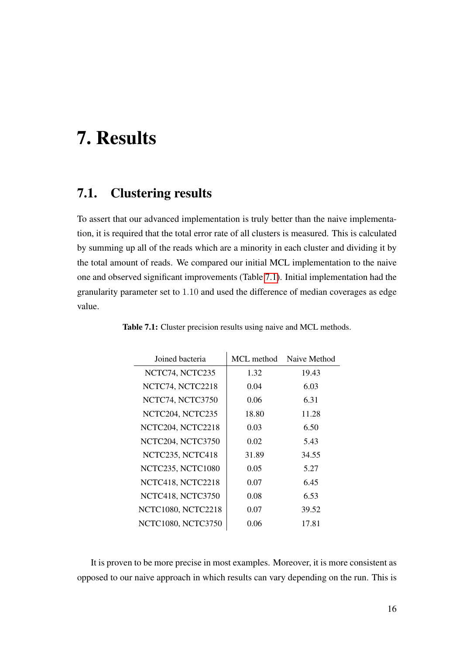## <span id="page-20-0"></span>7. Results

### <span id="page-20-1"></span>7.1. Clustering results

To assert that our advanced implementation is truly better than the naive implementation, it is required that the total error rate of all clusters is measured. This is calculated by summing up all of the reads which are a minority in each cluster and dividing it by the total amount of reads. We compared our initial MCL implementation to the naive one and observed significant improvements (Table [7.1\)](#page-20-2). Initial implementation had the granularity parameter set to 1.10 and used the difference of median coverages as edge value.

| MCL method | Naive Method |
|------------|--------------|
| 1.32       | 19.43        |
| 0.04       | 6.03         |
| 0.06       | 6.31         |
| 18.80      | 11.28        |
| 0.03       | 6.50         |
| 0.02       | 5.43         |
| 31.89      | 34.55        |
| 0.05       | 5.27         |
| 0.07       | 6.45         |
| 0.08       | 6.53         |
| 0.07       | 39.52        |
| 0.06       | 17.81        |
|            |              |

<span id="page-20-2"></span>Table 7.1: Cluster precision results using naive and MCL methods.

It is proven to be more precise in most examples. Moreover, it is more consistent as opposed to our naive approach in which results can vary depending on the run. This is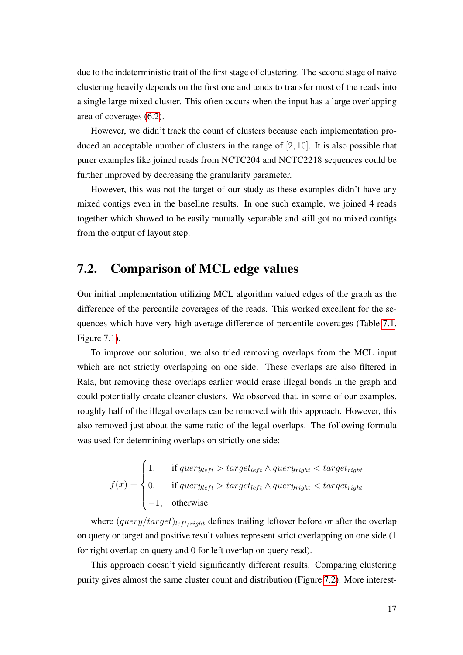due to the indeterministic trait of the first stage of clustering. The second stage of naive clustering heavily depends on the first one and tends to transfer most of the reads into a single large mixed cluster. This often occurs when the input has a large overlapping area of coverages [\(6.2\)](#page-17-1).

However, we didn't track the count of clusters because each implementation produced an acceptable number of clusters in the range of  $[2, 10]$ . It is also possible that purer examples like joined reads from NCTC204 and NCTC2218 sequences could be further improved by decreasing the granularity parameter.

However, this was not the target of our study as these examples didn't have any mixed contigs even in the baseline results. In one such example, we joined 4 reads together which showed to be easily mutually separable and still got no mixed contigs from the output of layout step.

### <span id="page-21-0"></span>7.2. Comparison of MCL edge values

Our initial implementation utilizing MCL algorithm valued edges of the graph as the difference of the percentile coverages of the reads. This worked excellent for the sequences which have very high average difference of percentile coverages (Table [7.1,](#page-20-2) Figure [7.1\)](#page-22-0).

To improve our solution, we also tried removing overlaps from the MCL input which are not strictly overlapping on one side. These overlaps are also filtered in Rala, but removing these overlaps earlier would erase illegal bonds in the graph and could potentially create cleaner clusters. We observed that, in some of our examples, roughly half of the illegal overlaps can be removed with this approach. However, this also removed just about the same ratio of the legal overlaps. The following formula was used for determining overlaps on strictly one side:

$$
f(x) = \begin{cases} 1, & \text{if } query_{left} > target_{left} \land query_{right} < target_{right} \\ 0, & \text{if } query_{left} > target_{left} \land query_{right} < target_{right} \\ -1, & \text{otherwise} \end{cases}
$$

where  $(query/target)_{left/right}$  defines trailing leftover before or after the overlap on query or target and positive result values represent strict overlapping on one side (1 for right overlap on query and 0 for left overlap on query read).

This approach doesn't yield significantly different results. Comparing clustering purity gives almost the same cluster count and distribution (Figure [7.2\)](#page-24-0). More interest-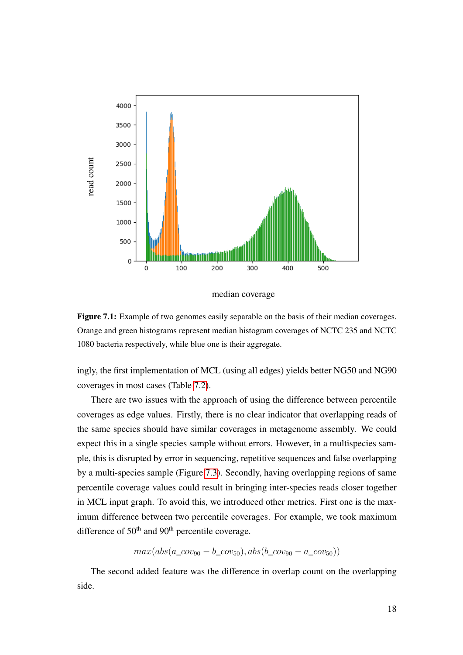<span id="page-22-0"></span>

median coverage

Figure 7.1: Example of two genomes easily separable on the basis of their median coverages. Orange and green histograms represent median histogram coverages of NCTC 235 and NCTC 1080 bacteria respectively, while blue one is their aggregate.

ingly, the first implementation of MCL (using all edges) yields better NG50 and NG90 coverages in most cases (Table [7.2\)](#page-23-0).

There are two issues with the approach of using the difference between percentile coverages as edge values. Firstly, there is no clear indicator that overlapping reads of the same species should have similar coverages in metagenome assembly. We could expect this in a single species sample without errors. However, in a multispecies sample, this is disrupted by error in sequencing, repetitive sequences and false overlapping by a multi-species sample (Figure [7.3\)](#page-25-0). Secondly, having overlapping regions of same percentile coverage values could result in bringing inter-species reads closer together in MCL input graph. To avoid this, we introduced other metrics. First one is the maximum difference between two percentile coverages. For example, we took maximum difference of  $50<sup>th</sup>$  and  $90<sup>th</sup>$  percentile coverage.

 $max(abs(a\ cov_{90} - b\ cov_{50}), abs(b\ cov_{90} - a\ cov_{50}))$ 

The second added feature was the difference in overlap count on the overlapping side.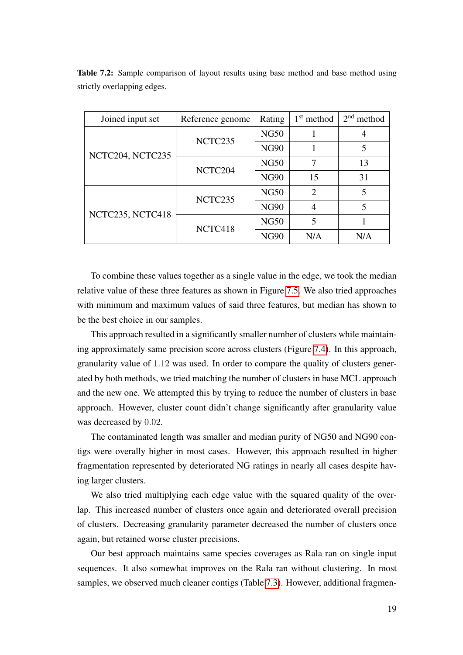| Joined input set | Reference genome | Rating      | $1st$ method   | $2nd$ method |
|------------------|------------------|-------------|----------------|--------------|
|                  | NCTC235          | <b>NG50</b> |                |              |
| NCTC204, NCTC235 |                  | <b>NG90</b> |                | 5            |
|                  | NCTC204          | <b>NG50</b> | 7              | 13           |
|                  |                  | <b>NG90</b> | 15             | 31           |
| NCTC235, NCTC418 | NCTC235          | <b>NG50</b> | $\overline{2}$ | 5            |
|                  |                  | <b>NG90</b> | 4              | 5            |
|                  | NCTC418          | <b>NG50</b> | 5              |              |
|                  |                  | <b>NG90</b> | N/A            | N/A          |

<span id="page-23-0"></span>Table 7.2: Sample comparison of layout results using base method and base method using strictly overlapping edges.

To combine these values together as a single value in the edge, we took the median relative value of these three features as shown in Figure [7.5.](#page-27-0) We also tried approaches with minimum and maximum values of said three features, but median has shown to be the best choice in our samples.

This approach resulted in a significantly smaller number of clusters while maintaining approximately same precision score across clusters (Figure [7.4\)](#page-26-0). In this approach, granularity value of 1.12 was used. In order to compare the quality of clusters generated by both methods, we tried matching the number of clusters in base MCL approach and the new one. We attempted this by trying to reduce the number of clusters in base approach. However, cluster count didn't change significantly after granularity value was decreased by 0.02.

The contaminated length was smaller and median purity of NG50 and NG90 contigs were overally higher in most cases. However, this approach resulted in higher fragmentation represented by deteriorated NG ratings in nearly all cases despite having larger clusters.

We also tried multiplying each edge value with the squared quality of the overlap. This increased number of clusters once again and deteriorated overall precision of clusters. Decreasing granularity parameter decreased the number of clusters once again, but retained worse cluster precisions.

Our best approach maintains same species coverages as Rala ran on single input sequences. It also somewhat improves on the Rala ran without clustering. In most samples, we observed much cleaner contigs (Table [7.3\)](#page-28-0). However, additional fragmen-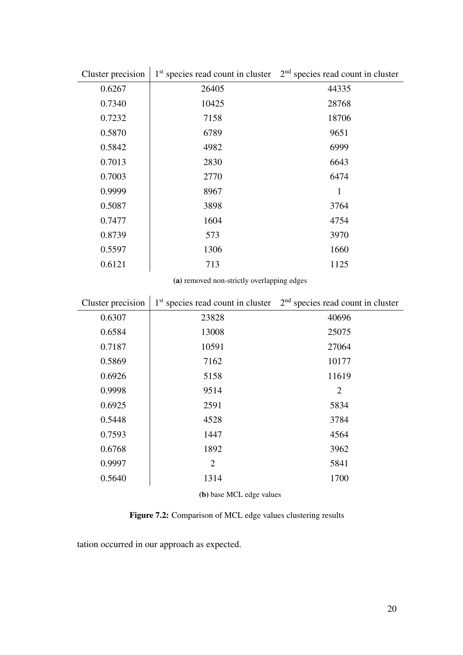<span id="page-24-0"></span>

| Cluster precision | 1 <sup>st</sup> species read count in cluster | $2nd$ species read count in cluster |
|-------------------|-----------------------------------------------|-------------------------------------|
| 0.6267            | 26405                                         | 44335                               |
| 0.7340            | 10425                                         | 28768                               |
| 0.7232            | 7158                                          | 18706                               |
| 0.5870            | 6789                                          | 9651                                |
| 0.5842            | 4982                                          | 6999                                |
| 0.7013            | 2830                                          | 6643                                |
| 0.7003            | 2770                                          | 6474                                |
| 0.9999            | 8967                                          | 1                                   |
| 0.5087            | 3898                                          | 3764                                |
| 0.7477            | 1604                                          | 4754                                |
| 0.8739            | 573                                           | 3970                                |
| 0.5597            | 1306                                          | 1660                                |
| 0.6121            | 713                                           | 1125                                |

(a) removed non-strictly overlapping edges

| Cluster precision |                | $1st$ species read count in cluster $2nd$ species read count in cluster |
|-------------------|----------------|-------------------------------------------------------------------------|
| 0.6307            | 23828          | 40696                                                                   |
| 0.6584            | 13008          | 25075                                                                   |
| 0.7187            | 10591          | 27064                                                                   |
| 0.5869            | 7162           | 10177                                                                   |
| 0.6926            | 5158           | 11619                                                                   |
| 0.9998            | 9514           | $\overline{2}$                                                          |
| 0.6925            | 2591           | 5834                                                                    |
| 0.5448            | 4528           | 3784                                                                    |
| 0.7593            | 1447           | 4564                                                                    |
| 0.6768            | 1892           | 3962                                                                    |
| 0.9997            | $\overline{2}$ | 5841                                                                    |
| 0.5640            | 1314           | 1700                                                                    |

(b) base MCL edge values

Figure 7.2: Comparison of MCL edge values clustering results

tation occurred in our approach as expected.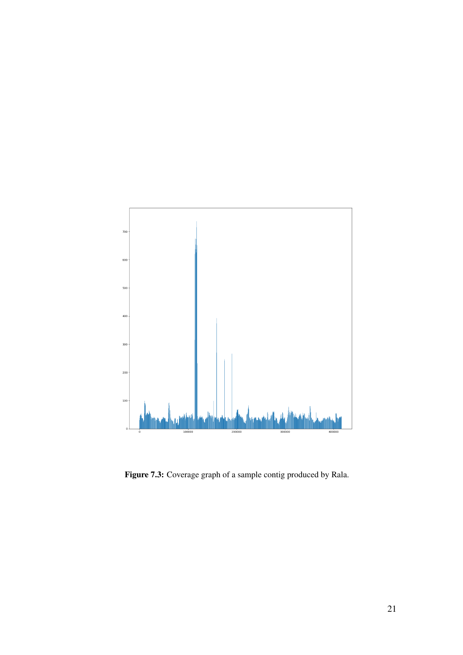<span id="page-25-0"></span>

Figure 7.3: Coverage graph of a sample contig produced by Rala.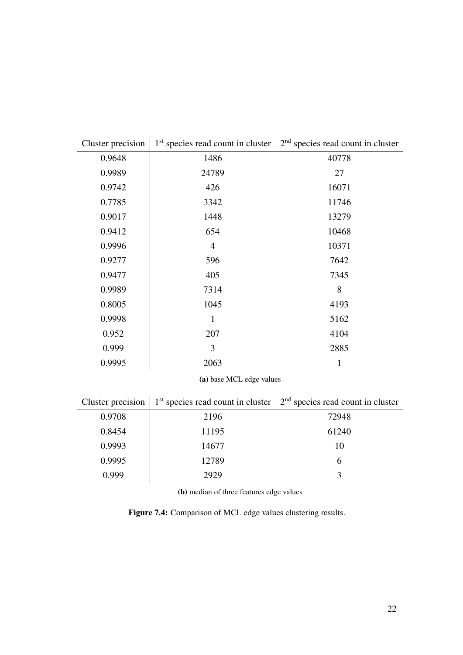<span id="page-26-0"></span>

| Cluster precision        |                                               | $1st$ species read count in cluster $2nd$ species read count in cluster |  |  |  |
|--------------------------|-----------------------------------------------|-------------------------------------------------------------------------|--|--|--|
| 0.9648                   | 1486                                          | 40778                                                                   |  |  |  |
| 0.9989                   | 24789                                         | 27                                                                      |  |  |  |
| 0.9742                   | 426                                           | 16071                                                                   |  |  |  |
| 0.7785                   | 3342                                          | 11746                                                                   |  |  |  |
| 0.9017                   | 1448                                          | 13279                                                                   |  |  |  |
| 0.9412                   | 654                                           | 10468                                                                   |  |  |  |
| 0.9996                   | $\overline{4}$                                | 10371                                                                   |  |  |  |
| 0.9277                   | 596                                           | 7642                                                                    |  |  |  |
| 0.9477                   | 405                                           | 7345                                                                    |  |  |  |
| 0.9989                   | 7314                                          | 8                                                                       |  |  |  |
| 0.8005                   | 1045                                          | 4193                                                                    |  |  |  |
| 0.9998                   | $\mathbf{1}$                                  | 5162                                                                    |  |  |  |
| 0.952                    | 207                                           | 4104                                                                    |  |  |  |
| 0.999                    | 3                                             | 2885                                                                    |  |  |  |
| 0.9995                   | 2063                                          | $\mathbf{1}$                                                            |  |  |  |
| (a) base MCL edge values |                                               |                                                                         |  |  |  |
| Cluster precision        | 1 <sup>st</sup> species read count in cluster | $2nd$ species read count in cluster                                     |  |  |  |
| 0.9708                   | 2196                                          | 72948                                                                   |  |  |  |
| 0.8454                   | 11195                                         | 61240                                                                   |  |  |  |
| 0.9993                   | 14677                                         | 10                                                                      |  |  |  |

(b) median of three features edge values

0.9995 12789 6

0.999 2929 3

Figure 7.4: Comparison of MCL edge values clustering results.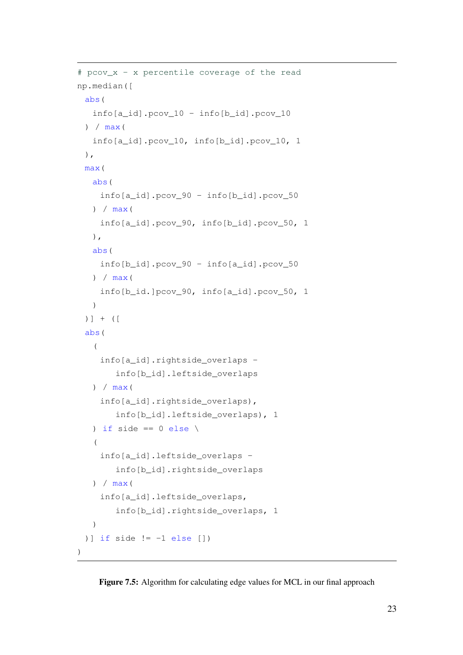```
# pcov_x - x percentile coverage of the read
np.median([
 abs(
   info[a_id].pcov_10 - info[b_id].pcov_10
 ) /max(info[a_id].pcov_10, info[b_id].pcov_10, 1
 ),
 max(
  abs(
    info[a_id].pcov_90 - info[b_id].pcov_50
  ) /max(info[a_id].pcov_90, info[b_id].pcov_50, 1
  ),
  abs(
    info[b_id].pcov_90 - info[a_id].pcov_50
  ) / max(
    info[b_id.]pcov_90, info[a_id].pcov_50, 1
   )
 )] + ([
 abs(
   (
    info[a_id].rightside_overlaps -
       info[b_id].leftside_overlaps
  ) / max (
    info[a_id].rightside_overlaps),
       info[b_id].leftside_overlaps), 1
   ) if side == 0 else \
   (
    info[a_id].leftside_overlaps -
       info[b_id].rightside_overlaps
   ) / max(
    info[a_id].leftside_overlaps,
       info[b_id].rightside_overlaps, 1
   )
 )] if side != -1 else [])
)
```
#### Figure 7.5: Algorithm for calculating edge values for MCL in our final approach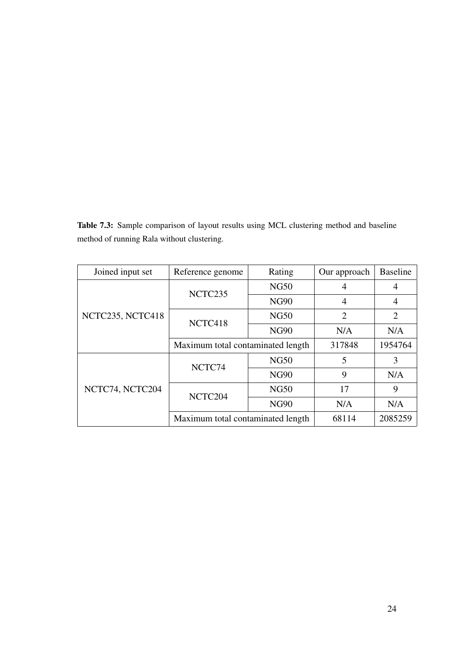<span id="page-28-0"></span>Table 7.3: Sample comparison of layout results using MCL clustering method and baseline method of running Rala without clustering.

| Joined input set | Reference genome                  | Rating      | Our approach   | <b>Baseline</b> |
|------------------|-----------------------------------|-------------|----------------|-----------------|
|                  | NCTC235                           | <b>NG50</b> | 4              | 4               |
|                  |                                   | <b>NG90</b> | $\overline{4}$ | 4               |
| NCTC235, NCTC418 | NCTC418                           | <b>NG50</b> | $\overline{2}$ | $\overline{2}$  |
|                  |                                   | <b>NG90</b> | N/A            | N/A             |
|                  | Maximum total contaminated length | 317848      | 1954764        |                 |
| NCTC74, NCTC204  | NCTC74                            | <b>NG50</b> | 5              | 3               |
|                  |                                   | <b>NG90</b> | 9              | N/A             |
|                  | NCTC204                           | <b>NG50</b> | 17             | 9               |
|                  |                                   | <b>NG90</b> | N/A            | N/A             |
|                  | Maximum total contaminated length |             | 68114          | 2085259         |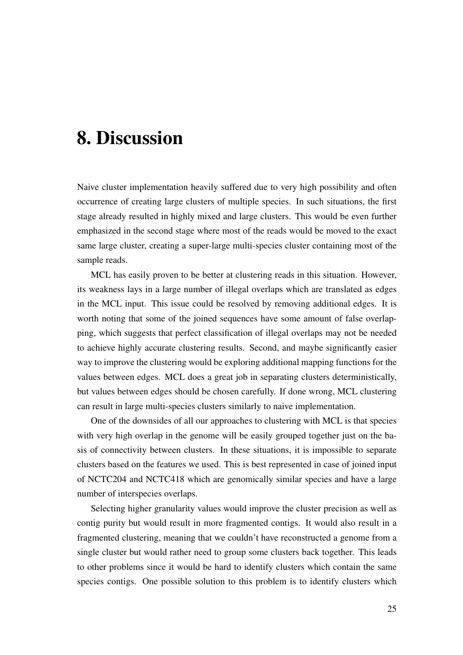## <span id="page-29-0"></span>8. Discussion

Naive cluster implementation heavily suffered due to very high possibility and often occurrence of creating large clusters of multiple species. In such situations, the first stage already resulted in highly mixed and large clusters. This would be even further emphasized in the second stage where most of the reads would be moved to the exact same large cluster, creating a super-large multi-species cluster containing most of the sample reads.

MCL has easily proven to be better at clustering reads in this situation. However, its weakness lays in a large number of illegal overlaps which are translated as edges in the MCL input. This issue could be resolved by removing additional edges. It is worth noting that some of the joined sequences have some amount of false overlapping, which suggests that perfect classification of illegal overlaps may not be needed to achieve highly accurate clustering results. Second, and maybe significantly easier way to improve the clustering would be exploring additional mapping functions for the values between edges. MCL does a great job in separating clusters deterministically, but values between edges should be chosen carefully. If done wrong, MCL clustering can result in large multi-species clusters similarly to naive implementation.

One of the downsides of all our approaches to clustering with MCL is that species with very high overlap in the genome will be easily grouped together just on the basis of connectivity between clusters. In these situations, it is impossible to separate clusters based on the features we used. This is best represented in case of joined input of NCTC204 and NCTC418 which are genomically similar species and have a large number of interspecies overlaps.

Selecting higher granularity values would improve the cluster precision as well as contig purity but would result in more fragmented contigs. It would also result in a fragmented clustering, meaning that we couldn't have reconstructed a genome from a single cluster but would rather need to group some clusters back together. This leads to other problems since it would be hard to identify clusters which contain the same species contigs. One possible solution to this problem is to identify clusters which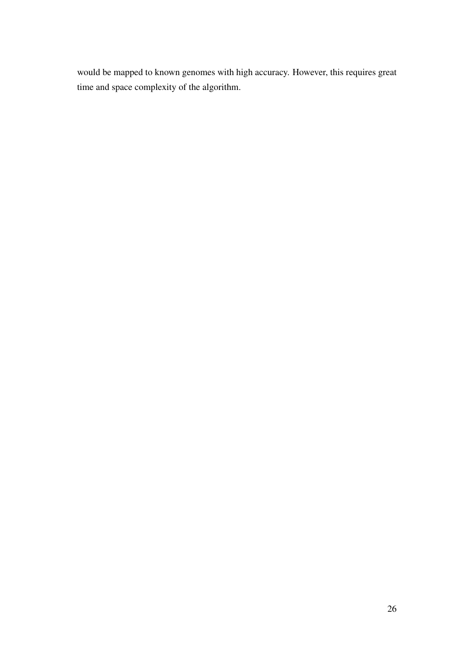would be mapped to known genomes with high accuracy. However, this requires great time and space complexity of the algorithm.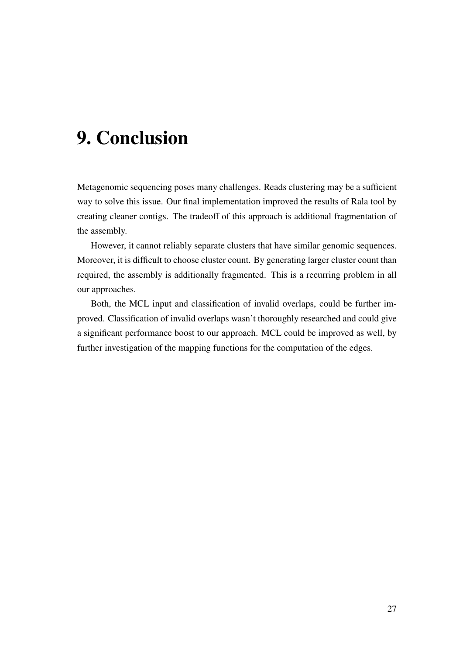## <span id="page-31-0"></span>9. Conclusion

Metagenomic sequencing poses many challenges. Reads clustering may be a sufficient way to solve this issue. Our final implementation improved the results of Rala tool by creating cleaner contigs. The tradeoff of this approach is additional fragmentation of the assembly.

However, it cannot reliably separate clusters that have similar genomic sequences. Moreover, it is difficult to choose cluster count. By generating larger cluster count than required, the assembly is additionally fragmented. This is a recurring problem in all our approaches.

Both, the MCL input and classification of invalid overlaps, could be further improved. Classification of invalid overlaps wasn't thoroughly researched and could give a significant performance boost to our approach. MCL could be improved as well, by further investigation of the mapping functions for the computation of the edges.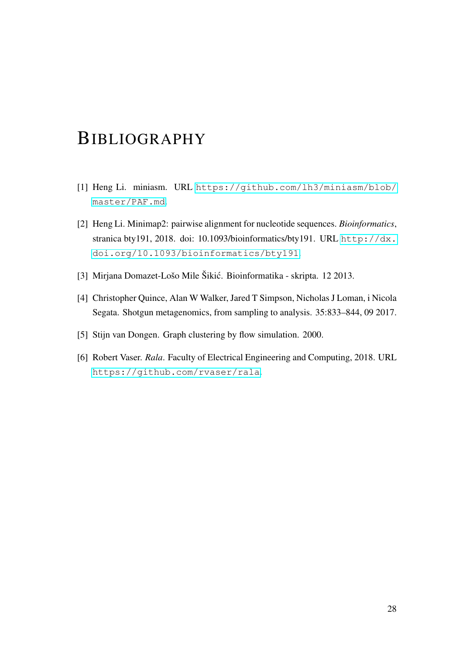### <span id="page-32-0"></span>BIBLIOGRAPHY

- <span id="page-32-6"></span>[1] Heng Li. miniasm. URL [https://github.com/lh3/miniasm/blob/](https://github.com/lh3/miniasm/blob/master/PAF.md) [master/PAF.md](https://github.com/lh3/miniasm/blob/master/PAF.md).
- <span id="page-32-3"></span>[2] Heng Li. Minimap2: pairwise alignment for nucleotide sequences. *Bioinformatics*, stranica bty191, 2018. doi: 10.1093/bioinformatics/bty191. URL [http://dx.](http://dx.doi.org/10.1093/bioinformatics/bty191) [doi.org/10.1093/bioinformatics/bty191](http://dx.doi.org/10.1093/bioinformatics/bty191).
- <span id="page-32-1"></span>[3] Mirjana Domazet-Lošo Mile Šikic. Bioinformatika - skripta. 12 2013. ´
- <span id="page-32-2"></span>[4] Christopher Quince, Alan W Walker, Jared T Simpson, Nicholas J Loman, i Nicola Segata. Shotgun metagenomics, from sampling to analysis. 35:833–844, 09 2017.
- <span id="page-32-5"></span>[5] Stijn van Dongen. Graph clustering by flow simulation. 2000.
- <span id="page-32-4"></span>[6] Robert Vaser. *Rala*. Faculty of Electrical Engineering and Computing, 2018. URL <https://github.com/rvaser/rala>.